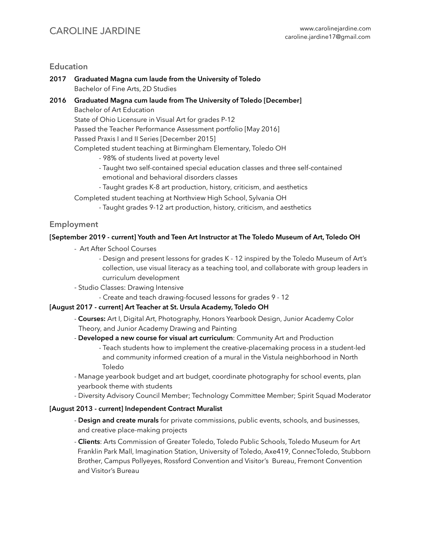## CAROLINE JARDINE [www.carolinejardine.com](http://www.carolinejardine.com)

## **Education**

**2017 Graduated Magna cum laude from the University of Toledo** Bachelor of Fine Arts, 2D Studies **2016 Graduated Magna cum laude from The University of Toledo [December]** Bachelor of Art Education State of Ohio Licensure in Visual Art for grades P-12 Passed the Teacher Performance Assessment portfolio [May 2016] Passed Praxis I and II Series [December 2015]

Completed student teaching at Birmingham Elementary, Toledo OH

- 98% of students lived at poverty level
- Taught two self-contained special education classes and three self-contained emotional and behavioral disorders classes
- Taught grades K-8 art production, history, criticism, and aesthetics
- Completed student teaching at Northview High School, Sylvania OH
	- Taught grades 9-12 art production, history, criticism, and aesthetics

## **Employment**

## **[September 2019 - current] Youth and Teen Art Instructor at The Toledo Museum of Art, Toledo OH**

- Art After School Courses
	- Design and present lessons for grades K 12 inspired by the Toledo Museum of Art's collection, use visual literacy as a teaching tool, and collaborate with group leaders in curriculum development
- Studio Classes: Drawing Intensive
	- Create and teach drawing-focused lessons for grades 9 12

## **[August 2017 - current] Art Teacher at St. Ursula Academy, Toledo OH**

- - **Courses:** Art I, Digital Art, Photography, Honors Yearbook Design, Junior Academy Color Theory, and Junior Academy Drawing and Painting
- **Developed a new course for visual art curriculum**: Community Art and Production - Teach students how to implement the creative-placemaking process in a student-led and community informed creation of a mural in the Vistula neighborhood in North Toledo
- Manage yearbook budget and art budget, coordinate photography for school events, plan yearbook theme with students
- Diversity Advisory Council Member; Technology Committee Member; Spirit Squad Moderator

## **[August 2013 - current] Independent Contract Muralist**

- **Design and create murals** for private commissions, public events, schools, and businesses, and creative place-making projects
- **Clients**: Arts Commission of Greater Toledo, Toledo Public Schools, Toledo Museum for Art Franklin Park Mall, Imagination Station, University of Toledo, Axe419, ConnecToledo, Stubborn Brother, Campus Pollyeyes, Rossford Convention and Visitor's Bureau, Fremont Convention and Visitor's Bureau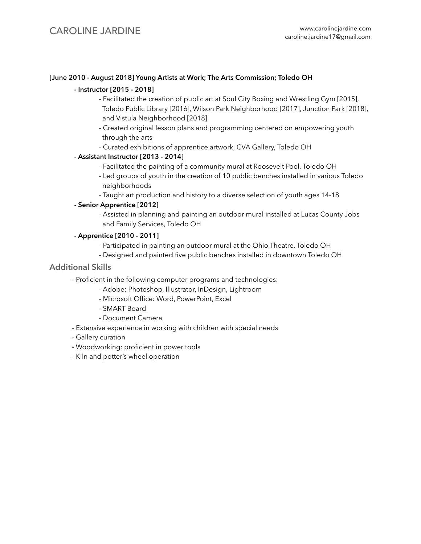#### **[June 2010 - August 2018] Young Artists at Work; The Arts Commission; Toledo OH**

#### **- Instructor [2015 - 2018]**

- Facilitated the creation of public art at Soul City Boxing and Wrestling Gym [2015], Toledo Public Library [2016], Wilson Park Neighborhood [2017], Junction Park [2018], and Vistula Neighborhood [2018]
- Created original lesson plans and programming centered on empowering youth through the arts
- Curated exhibitions of apprentice artwork, CVA Gallery, Toledo OH

## **- Assistant Instructor [2013 - 2014]**

- Facilitated the painting of a community mural at Roosevelt Pool, Toledo OH
- Led groups of youth in the creation of 10 public benches installed in various Toledo neighborhoods
- Taught art production and history to a diverse selection of youth ages 14-18

#### **- Senior Apprentice [2012]**

 - Assisted in planning and painting an outdoor mural installed at Lucas County Jobs and Family Services, Toledo OH

#### **- Apprentice [2010 - 2011]**

- Participated in painting an outdoor mural at the Ohio Theatre, Toledo OH
- Designed and painted five public benches installed in downtown Toledo OH

## **Additional Skills**

- Proficient in the following computer programs and technologies:
	- Adobe: Photoshop, Illustrator, InDesign, Lightroom
	- Microsoft Office: Word, PowerPoint, Excel
	- SMART Board
	- Document Camera
- Extensive experience in working with children with special needs
- Gallery curation
- Woodworking: proficient in power tools
- Kiln and potter's wheel operation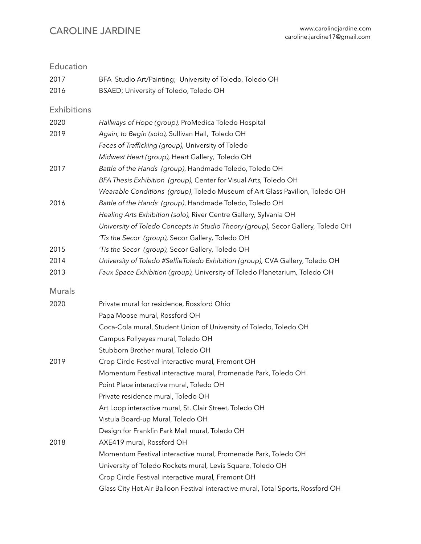# CAROLINE JARDINE [www.carolinejardine.com](http://www.carolinejardine.com)

| Education          |                                                                                  |
|--------------------|----------------------------------------------------------------------------------|
| 2017               | BFA Studio Art/Painting; University of Toledo, Toledo OH                         |
| 2016               | BSAED; University of Toledo, Toledo OH                                           |
| <b>Exhibitions</b> |                                                                                  |
| 2020               | Hallways of Hope (group), ProMedica Toledo Hospital                              |
| 2019               | Again, to Begin (solo), Sullivan Hall, Toledo OH                                 |
|                    | Faces of Trafficking (group), University of Toledo                               |
|                    | Midwest Heart (group), Heart Gallery, Toledo OH                                  |
| 2017               | Battle of the Hands (group), Handmade Toledo, Toledo OH                          |
|                    | BFA Thesis Exhibition (group), Center for Visual Arts, Toledo OH                 |
|                    | Wearable Conditions (group), Toledo Museum of Art Glass Pavilion, Toledo OH      |
| 2016               | Battle of the Hands (group), Handmade Toledo, Toledo OH                          |
|                    | Healing Arts Exhibition (solo), River Centre Gallery, Sylvania OH                |
|                    | University of Toledo Concepts in Studio Theory (group), Secor Gallery, Toledo OH |
|                    | 'Tis the Secor (group), Secor Gallery, Toledo OH                                 |
| 2015               | 'Tis the Secor (group), Secor Gallery, Toledo OH                                 |
| 2014               | University of Toledo #SelfieToledo Exhibition (group), CVA Gallery, Toledo OH    |
| 2013               | Faux Space Exhibition (group), University of Toledo Planetarium, Toledo OH       |
| <b>Murals</b>      |                                                                                  |
| 2020               | Private mural for residence, Rossford Ohio                                       |
|                    | Papa Moose mural, Rossford OH                                                    |
|                    | Coca-Cola mural, Student Union of University of Toledo, Toledo OH                |
|                    | Campus Pollyeyes mural, Toledo OH                                                |
|                    | Stubborn Brother mural, Toledo OH                                                |
| 2019               | Crop Circle Festival interactive mural, Fremont OH                               |
|                    | Momentum Festival interactive mural, Promenade Park, Toledo OH                   |
|                    | Point Place interactive mural, Toledo OH                                         |
|                    | Private residence mural, Toledo OH                                               |
|                    | Art Loop interactive mural, St. Clair Street, Toledo OH                          |
|                    | Vistula Board-up Mural, Toledo OH                                                |
|                    | Design for Franklin Park Mall mural, Toledo OH                                   |
| 2018               | AXE419 mural, Rossford OH                                                        |
|                    | Momentum Festival interactive mural, Promenade Park, Toledo OH                   |
|                    | University of Toledo Rockets mural, Levis Square, Toledo OH                      |
|                    | Crop Circle Festival interactive mural, Fremont OH                               |
|                    | Glass City Hot Air Balloon Festival interactive mural, Total Sports, Rossford OH |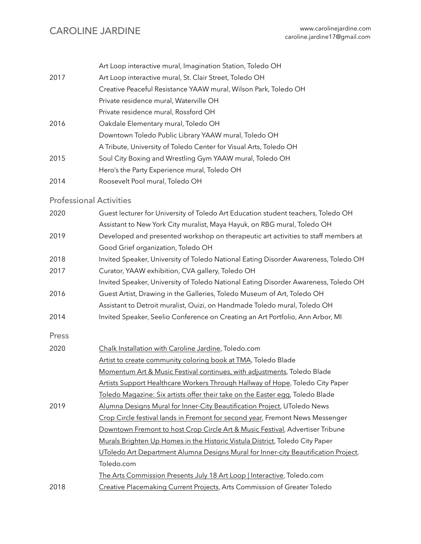|      | Art Loop interactive mural, Imagination Station, Toledo OH        |
|------|-------------------------------------------------------------------|
| 2017 | Art Loop interactive mural, St. Clair Street, Toledo OH           |
|      | Creative Peaceful Resistance YAAW mural, Wilson Park, Toledo OH   |
|      | Private residence mural, Waterville OH                            |
|      | Private residence mural, Rossford OH                              |
| 2016 | Oakdale Elementary mural, Toledo OH                               |
|      | Downtown Toledo Public Library YAAW mural, Toledo OH              |
|      | A Tribute, University of Toledo Center for Visual Arts, Toledo OH |
| 2015 | Soul City Boxing and Wrestling Gym YAAW mural, Toledo OH          |
|      | Hero's the Party Experience mural, Toledo OH                      |
| 2014 | Roosevelt Pool mural, Toledo OH                                   |

## Professional Activities

| 2020  | Guest lecturer for University of Toledo Art Education student teachers, Toledo OH   |
|-------|-------------------------------------------------------------------------------------|
|       | Assistant to New York City muralist, Maya Hayuk, on RBG mural, Toledo OH            |
| 2019  | Developed and presented workshop on therapeutic art activities to staff members at  |
|       | Good Grief organization, Toledo OH                                                  |
| 2018  | Invited Speaker, University of Toledo National Eating Disorder Awareness, Toledo OH |
| 2017  | Curator, YAAW exhibition, CVA gallery, Toledo OH                                    |
|       | Invited Speaker, University of Toledo National Eating Disorder Awareness, Toledo OH |
| 2016  | Guest Artist, Drawing in the Galleries, Toledo Museum of Art, Toledo OH             |
|       | Assistant to Detroit muralist, Ouizi, on Handmade Toledo mural, Toledo OH           |
| 2014  | Invited Speaker, Seelio Conference on Creating an Art Portfolio, Ann Arbor, MI      |
| Press |                                                                                     |
| 2020  | Chalk Installation with Caroline Jardine, Toledo.com                                |
|       | Artist to create community coloring book at TMA, Toledo Blade                       |
|       | Momentum Art & Music Festival continues, with adjustments, Toledo Blade             |
|       | Artists Support Healthcare Workers Through Hallway of Hope, Toledo City Paper       |
|       | Toledo Magazine: Six artists offer their take on the Easter egg, Toledo Blade       |
| 2019  | Alumna Designs Mural for Inner-City Beautification Project, UToledo News            |
|       | Crop Circle festival lands in Fremont for second year, Fremont News Messenger       |
|       | Downtown Fremont to host Crop Circle Art & Music Festival, Advertiser Tribune       |
|       | Murals Brighten Up Homes in the Historic Vistula District, Toledo City Paper        |
|       | UToledo Art Department Alumna Designs Mural for Inner-city Beautification Project,  |
|       | Toledo.com                                                                          |
|       | The Arts Commission Presents July 18 Art Loop   Interactive, Toledo.com             |
| 2018  | Creative Placemaking Current Projects, Arts Commission of Greater Toledo            |